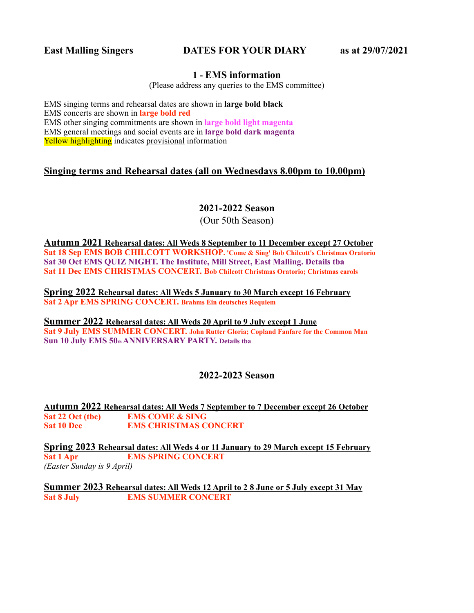## **East Malling Singers DATES FOR YOUR DIARY as at 29/07/2021**

#### **1 - EMS information**

(Please address any queries to the EMS committee)

EMS singing terms and rehearsal dates are shown in **large bold black** EMS concerts are shown in **large bold red** EMS other singing commitments are shown in **large bold light magenta** EMS general meetings and social events are in **large bold dark magenta** Yellow highlighting indicates provisional information

# **Singing terms and Rehearsal dates (all on Wednesdays 8.00pm to 10.00pm)**

# **2021-2022 Season**

(Our 50th Season)

**Autumn 2021 Rehearsal dates: All Weds 8 September to 11 December except 27 October Sat 18 Sep EMS BOB CHILCOTT WORKSHOP. 'Come & Sing' Bob Chilcott's Christmas Oratorio Sat 30 Oct EMS QUIZ NIGHT. The Institute, Mill Street, East Malling. Details tba Sat 11 Dec EMS CHRISTMAS CONCERT. Bob Chilcott Christmas Oratorio; Christmas carols** 

**Spring 2022 Rehearsal dates: All Weds 5 January to 30 March except 16 February Sat 2 Apr EMS SPRING CONCERT. Brahms Ein deutsches Requiem** 

**Summer 2022 Rehearsal dates: All Weds 20 April to 9 July except 1 June Sat 9 July EMS SUMMER CONCERT. John Rutter Gloria; Copland Fanfare for the Common Man**  Sun 10 July EMS 50th ANNIVERSARY PARTY. Details tba

### **2022-2023 Season**

**Autumn 2022 Rehearsal dates: All Weds 7 September to 7 December except 26 October Sat 22 Oct (tbc)** EMS COME & SING<br>
Sat 10 Dec EMS CHRISTMAS C **EMS CHRISTMAS CONCERT** 

**Spring 2023 Rehearsal dates: All Weds 4 or 11 January to 29 March except 15 February Sat 1 Apr EMS SPRING CONCERT** *(Easter Sunday is 9 April)* 

**Summer 2023 Rehearsal dates: All Weds 12 April to 2 8 June or 5 July except 31 May Sat 8 July EMS SUMMER CONCERT**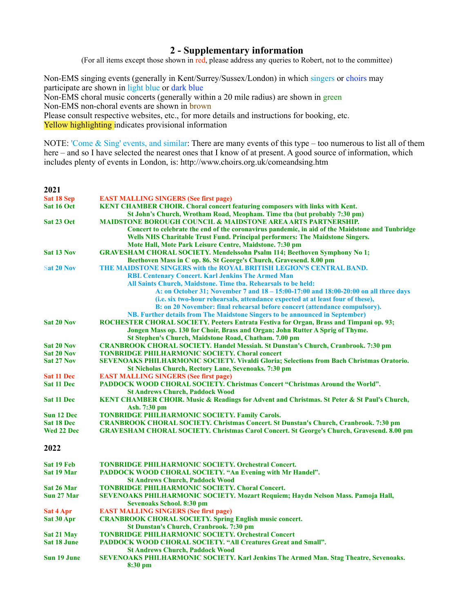### **2 - Supplementary information**

(For all items except those shown in red, please address any queries to Robert, not to the committee)

Non-EMS singing events (generally in Kent/Surrey/Sussex/London) in which singers or choirs may participate are shown in light blue or dark blue Non-EMS choral music concerts (generally within a 20 mile radius) are shown in green Non-EMS non-choral events are shown in brown

Please consult respective websites, etc., for more details and instructions for booking, etc.

Yellow highlighting indicates provisional information

NOTE: 'Come & Sing' events, and similar: There are many events of this type – too numerous to list all of them here – and so I have selected the nearest ones that I know of at present. A good source of information, which includes plenty of events in London, is: http://www.choirs.org.uk/comeandsing.htm

| 2021               |                                                                                                                               |  |
|--------------------|-------------------------------------------------------------------------------------------------------------------------------|--|
| Sat 18 Sep         | <b>EAST MALLING SINGERS (See first page)</b>                                                                                  |  |
| Sat 16 Oct         | KENT CHAMBER CHOIR. Choral concert featuring composers with links with Kent.                                                  |  |
|                    | St John's Church, Wrotham Road, Meopham. Time tha (but probably 7:30 pm)                                                      |  |
| Sat 23 Oct         | <b>MAIDSTONE BOROUGH COUNCIL &amp; MAIDSTONE AREA ARTS PARTNERSHIP.</b>                                                       |  |
|                    | Concert to celebrate the end of the coronavirus pandemic, in aid of the Maidstone and Tunbridge                               |  |
|                    | Wells NHS Charitable Trust Fund. Principal performers: The Maidstone Singers.                                                 |  |
|                    | Mote Hall, Mote Park Leisure Centre, Maidstone. 7:30 pm                                                                       |  |
| Sat 13 Nov         | <b>GRAVESHAM CHORAL SOCIETY. Mendelssohn Psalm 114; Beethoven Symphony No 1;</b>                                              |  |
|                    | Beethoven Mass in C op. 86. St George's Church, Gravesend. 8.00 pm                                                            |  |
| <b>Sat 20 Nov</b>  | THE MAIDSTONE SINGERS with the ROYAL BRITISH LEGION'S CENTRAL BAND.                                                           |  |
|                    | <b>RBL Centenary Concert. Karl Jenkins The Armed Man</b><br>All Saints Church, Maidstone. Time tba. Rehearsals to be held:    |  |
|                    | A: on October 31; November 7 and 18 - 15:00-17:00 and 18:00-20:00 on all three days                                           |  |
|                    | (i.e. six two-hour rehearsals, attendance expected at at least four of these),                                                |  |
|                    | B: on 20 November: final rehearsal before concert (attendance compulsory).                                                    |  |
|                    | NB. Further details from The Maidstone Singers to be announced in September)                                                  |  |
| <b>Sat 20 Nov</b>  | ROCHESTER CHORAL SOCIETY. Peeters Entrata Festiva for Organ, Brass and Timpani op. 93;                                        |  |
|                    | Jongen Mass op. 130 for Choir, Brass and Organ; John Rutter A Sprig of Thyme.                                                 |  |
|                    | St Stephen's Church, Maidstone Road, Chatham. 7.00 pm                                                                         |  |
| <b>Sat 20 Nov</b>  | <b>CRANBROOK CHORAL SOCIETY. Handel Messiah. St Dunstan's Church, Cranbrook. 7:30 pm</b>                                      |  |
| <b>Sat 20 Nov</b>  | <b>TONBRIDGE PHILHARMONIC SOCIETY. Choral concert</b>                                                                         |  |
| Sat 27 Nov         | SEVENOAKS PHILHARMONIC SOCIETY. Vivaldi Gloria; Selections from Bach Christmas Oratorio.                                      |  |
|                    | St Nicholas Church, Rectory Lane, Sevenoaks. 7:30 pm                                                                          |  |
| <b>Sat 11 Dec</b>  | <b>EAST MALLING SINGERS (See first page)</b>                                                                                  |  |
| <b>Sat 11 Dec</b>  | <b>PADDOCK WOOD CHORAL SOCIETY. Christmas Concert "Christmas Around the World".</b><br><b>St Andrews Church, Paddock Wood</b> |  |
| <b>Sat 11 Dec</b>  | KENT CHAMBER CHOIR. Music & Readings for Advent and Christmas. St Peter & St Paul's Church,<br>Ash. 7:30 pm                   |  |
| Sun 12 Dec         | <b>TONBRIDGE PHILHARMONIC SOCIETY. Family Carols.</b>                                                                         |  |
| Sat 18 Dec         | <b>CRANBROOK CHORAL SOCIETY. Christmas Concert. St Dunstan's Church, Cranbrook. 7:30 pm</b>                                   |  |
| Wed 22 Dec         | GRAVESHAM CHORAL SOCIETY. Christmas Carol Concert. St George's Church, Gravesend. 8.00 pm                                     |  |
| 2022               |                                                                                                                               |  |
| Sat 19 Feb         | <b>TONBRIDGE PHILHARMONIC SOCIETY. Orchestral Concert.</b>                                                                    |  |
| Sat 19 Mar         | PADDOCK WOOD CHORAL SOCIETY. "An Evening with Mr Handel".<br><b>St Andrews Church, Paddock Wood</b>                           |  |
| Sat 26 Mar         | <b>TONBRIDGE PHILHARMONIC SOCIETY. Choral Concert.</b>                                                                        |  |
| Sun 27 Mar         | SEVENOAKS PHILHARMONIC SOCIETY. Mozart Requiem; Haydn Nelson Mass. Pamoja Hall,<br>Sevenoaks School. 8:30 pm                  |  |
| Sat 4 Apr          | <b>EAST MALLING SINGERS (See first page)</b>                                                                                  |  |
| Sat 30 Apr         | <b>CRANBROOK CHORAL SOCIETY. Spring English music concert.</b>                                                                |  |
|                    | St Dunstan's Church, Cranbrook. 7:30 pm                                                                                       |  |
| Sat 21 May         | <b>TONBRIDGE PHILHARMONIC SOCIETY. Orchestral Concert</b>                                                                     |  |
| <b>Sat 18 June</b> | <b>PADDOCK WOOD CHORAL SOCIETY. "All Creatures Great and Small".</b>                                                          |  |
|                    | <b>St Andrews Church, Paddock Wood</b>                                                                                        |  |
| Sun 19 June        | SEVENOAKS PHILHARMONIC SOCIETY. Karl Jenkins The Armed Man. Stag Theatre, Sevenoaks.<br>$8:30 \text{ pm}$                     |  |